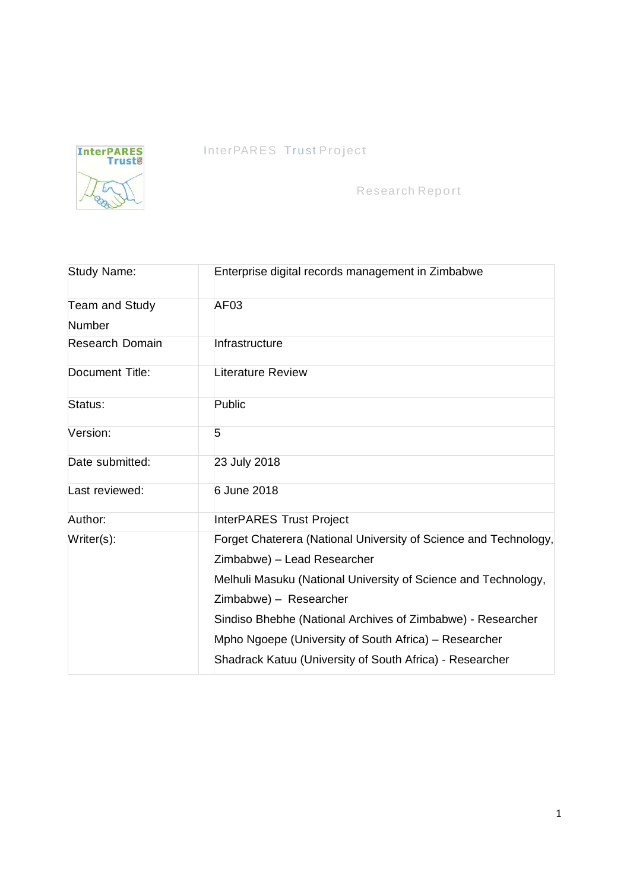

# InterPARES Trust Project

Research Report

| <b>Study Name:</b>     | Enterprise digital records management in Zimbabwe                |  |  |
|------------------------|------------------------------------------------------------------|--|--|
| Team and Study         | AF <sub>03</sub>                                                 |  |  |
| Number                 |                                                                  |  |  |
| <b>Research Domain</b> | Infrastructure                                                   |  |  |
| Document Title:        | Literature Review                                                |  |  |
| Status:                | Public                                                           |  |  |
| Version:               | 5                                                                |  |  |
| Date submitted:        | 23 July 2018                                                     |  |  |
| Last reviewed:         | 6 June 2018                                                      |  |  |
| Author:                | <b>InterPARES Trust Project</b>                                  |  |  |
| Writer(s):             | Forget Chaterera (National University of Science and Technology, |  |  |
|                        | Zimbabwe) - Lead Researcher                                      |  |  |
|                        | Melhuli Masuku (National University of Science and Technology,   |  |  |
|                        | Zimbabwe) - Researcher                                           |  |  |
|                        | Sindiso Bhebhe (National Archives of Zimbabwe) - Researcher      |  |  |
|                        | Mpho Ngoepe (University of South Africa) – Researcher            |  |  |
|                        | Shadrack Katuu (University of South Africa) - Researcher         |  |  |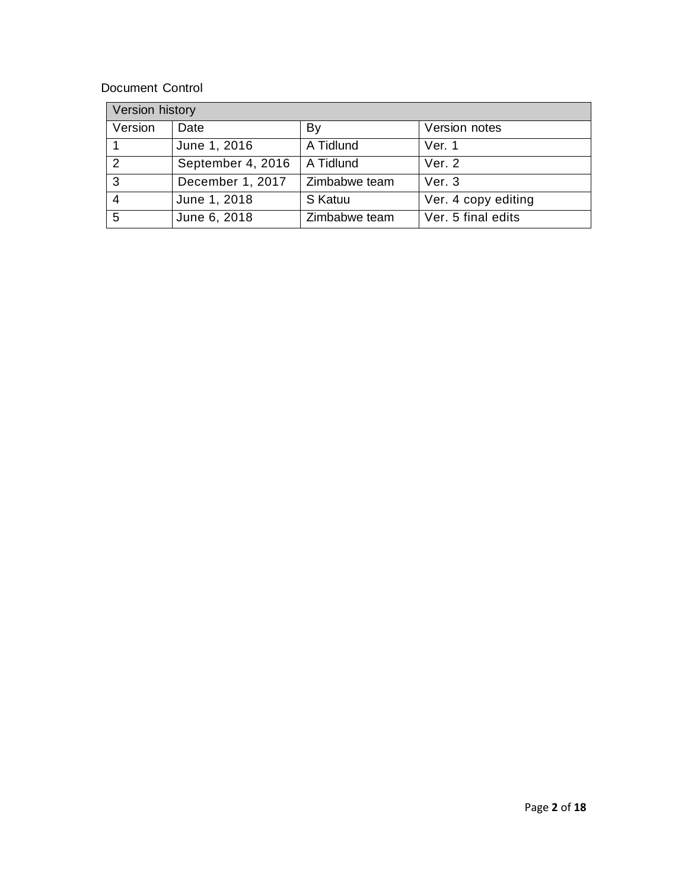### Document Control

| Version history |                   |               |                     |  |
|-----------------|-------------------|---------------|---------------------|--|
| Version         | Date              | By            | Version notes       |  |
|                 | June 1, 2016      | A Tidlund     | Ver. 1              |  |
| $\mathcal{P}$   | September 4, 2016 | A Tidlund     | Ver. 2              |  |
| -3              | December 1, 2017  | Zimbabwe team | Ver $3$             |  |
|                 | June 1, 2018      | S Katuu       | Ver. 4 copy editing |  |
| 5               | June 6, 2018      | Zimbabwe team | Ver. 5 final edits  |  |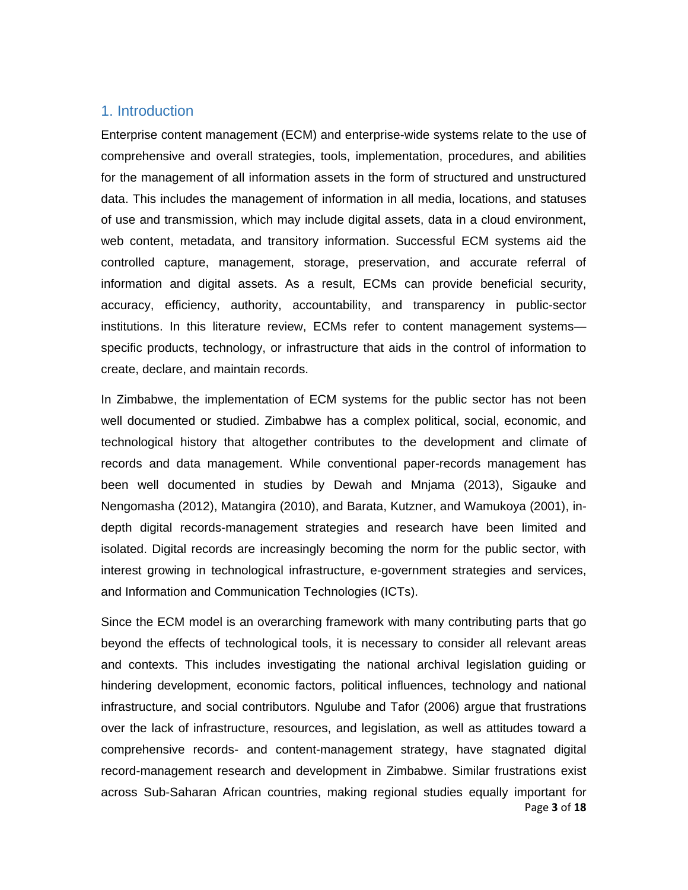#### 1. Introduction

Enterprise content management (ECM) and enterprise-wide systems relate to the use of comprehensive and overall strategies, tools, implementation, procedures, and abilities for the management of all information assets in the form of structured and unstructured data. This includes the management of information in all media, locations, and statuses of use and transmission, which may include digital assets, data in a cloud environment, web content, metadata, and transitory information. Successful ECM systems aid the controlled capture, management, storage, preservation, and accurate referral of information and digital assets. As a result, ECMs can provide beneficial security, accuracy, efficiency, authority, accountability, and transparency in public-sector institutions. In this literature review, ECMs refer to content management systems specific products, technology, or infrastructure that aids in the control of information to create, declare, and maintain records.

In Zimbabwe, the implementation of ECM systems for the public sector has not been well documented or studied. Zimbabwe has a complex political, social, economic, and technological history that altogether contributes to the development and climate of records and data management. While conventional paper-records management has been well documented in studies by Dewah and Mnjama (2013), Sigauke and Nengomasha (2012), Matangira (2010), and Barata, Kutzner, and Wamukoya (2001), indepth digital records-management strategies and research have been limited and isolated. Digital records are increasingly becoming the norm for the public sector, with interest growing in technological infrastructure, e-government strategies and services, and Information and Communication Technologies (ICTs).

Page **3** of **18** Since the ECM model is an overarching framework with many contributing parts that go beyond the effects of technological tools, it is necessary to consider all relevant areas and contexts. This includes investigating the national archival legislation guiding or hindering development, economic factors, political influences, technology and national infrastructure, and social contributors. Ngulube and Tafor (2006) argue that frustrations over the lack of infrastructure, resources, and legislation, as well as attitudes toward a comprehensive records- and content-management strategy, have stagnated digital record-management research and development in Zimbabwe. Similar frustrations exist across Sub-Saharan African countries, making regional studies equally important for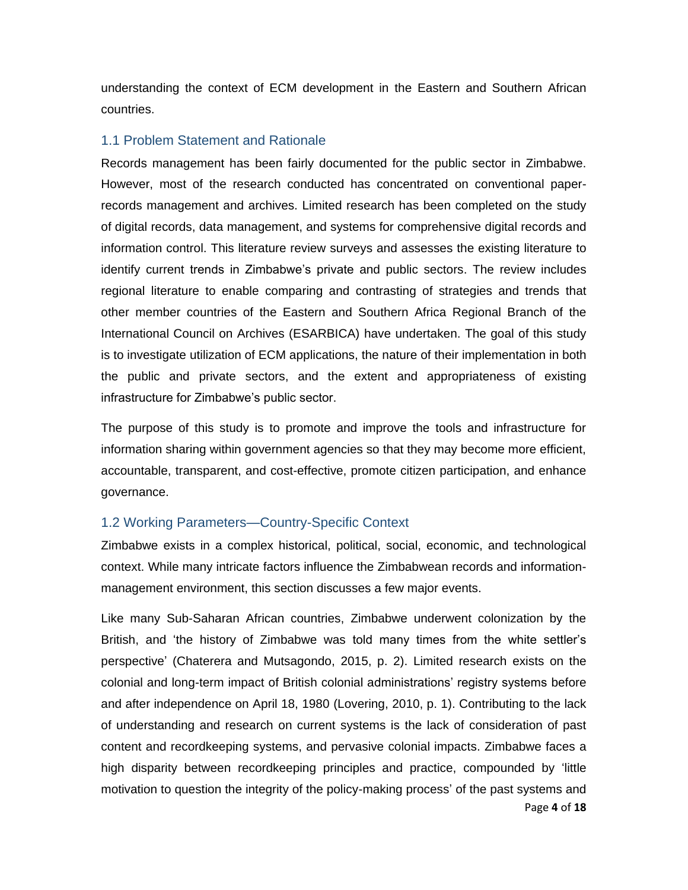understanding the context of ECM development in the Eastern and Southern African countries.

#### 1.1 Problem Statement and Rationale

Records management has been fairly documented for the public sector in Zimbabwe. However, most of the research conducted has concentrated on conventional paperrecords management and archives. Limited research has been completed on the study of digital records, data management, and systems for comprehensive digital records and information control. This literature review surveys and assesses the existing literature to identify current trends in Zimbabwe's private and public sectors. The review includes regional literature to enable comparing and contrasting of strategies and trends that other member countries of the Eastern and Southern Africa Regional Branch of the International Council on Archives (ESARBICA) have undertaken. The goal of this study is to investigate utilization of ECM applications, the nature of their implementation in both the public and private sectors, and the extent and appropriateness of existing infrastructure for Zimbabwe's public sector.

The purpose of this study is to promote and improve the tools and infrastructure for information sharing within government agencies so that they may become more efficient, accountable, transparent, and cost-effective, promote citizen participation, and enhance governance.

#### 1.2 Working Parameters—Country-Specific Context

Zimbabwe exists in a complex historical, political, social, economic, and technological context. While many intricate factors influence the Zimbabwean records and informationmanagement environment, this section discusses a few major events.

Page **4** of **18** Like many Sub-Saharan African countries, Zimbabwe underwent colonization by the British, and 'the history of Zimbabwe was told many times from the white settler's perspective' (Chaterera and Mutsagondo, 2015, p. 2). Limited research exists on the colonial and long-term impact of British colonial administrations' registry systems before and after independence on April 18, 1980 (Lovering, 2010, p. 1). Contributing to the lack of understanding and research on current systems is the lack of consideration of past content and recordkeeping systems, and pervasive colonial impacts. Zimbabwe faces a high disparity between recordkeeping principles and practice, compounded by 'little motivation to question the integrity of the policy-making process' of the past systems and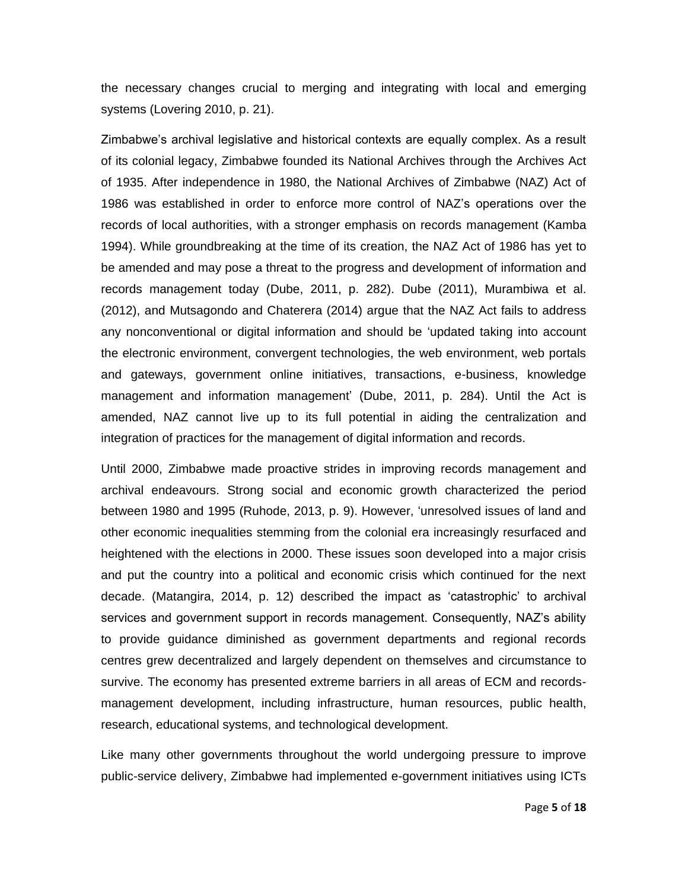the necessary changes crucial to merging and integrating with local and emerging systems (Lovering 2010, p. 21).

Zimbabwe's archival legislative and historical contexts are equally complex. As a result of its colonial legacy, Zimbabwe founded its National Archives through the Archives Act of 1935. After independence in 1980, the National Archives of Zimbabwe (NAZ) Act of 1986 was established in order to enforce more control of NAZ's operations over the records of local authorities, with a stronger emphasis on records management (Kamba 1994). While groundbreaking at the time of its creation, the NAZ Act of 1986 has yet to be amended and may pose a threat to the progress and development of information and records management today (Dube, 2011, p. 282). Dube (2011), Murambiwa et al. (2012), and Mutsagondo and Chaterera (2014) argue that the NAZ Act fails to address any nonconventional or digital information and should be 'updated taking into account the electronic environment, convergent technologies, the web environment, web portals and gateways, government online initiatives, transactions, e-business, knowledge management and information management' (Dube, 2011, p. 284). Until the Act is amended, NAZ cannot live up to its full potential in aiding the centralization and integration of practices for the management of digital information and records.

Until 2000, Zimbabwe made proactive strides in improving records management and archival endeavours. Strong social and economic growth characterized the period between 1980 and 1995 (Ruhode, 2013, p. 9). However, 'unresolved issues of land and other economic inequalities stemming from the colonial era increasingly resurfaced and heightened with the elections in 2000. These issues soon developed into a major crisis and put the country into a political and economic crisis which continued for the next decade. (Matangira, 2014, p. 12) described the impact as 'catastrophic' to archival services and government support in records management. Consequently, NAZ's ability to provide guidance diminished as government departments and regional records centres grew decentralized and largely dependent on themselves and circumstance to survive. The economy has presented extreme barriers in all areas of ECM and recordsmanagement development, including infrastructure, human resources, public health, research, educational systems, and technological development.

Like many other governments throughout the world undergoing pressure to improve public-service delivery, Zimbabwe had implemented e-government initiatives using ICTs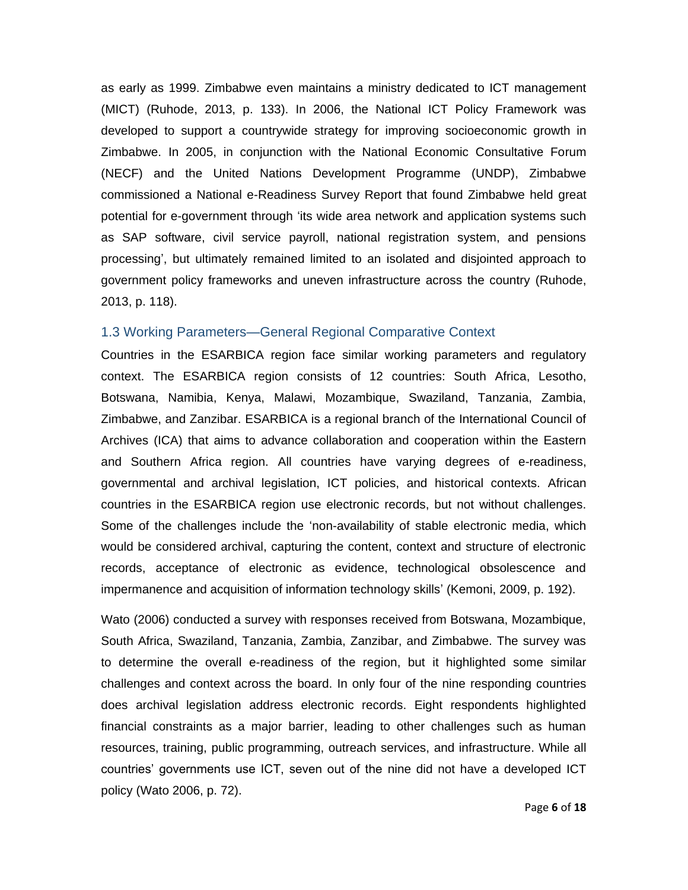as early as 1999. Zimbabwe even maintains a ministry dedicated to ICT management (MICT) (Ruhode, 2013, p. 133). In 2006, the National ICT Policy Framework was developed to support a countrywide strategy for improving socioeconomic growth in Zimbabwe. In 2005, in conjunction with the National Economic Consultative Forum (NECF) and the United Nations Development Programme (UNDP), Zimbabwe commissioned a National e-Readiness Survey Report that found Zimbabwe held great potential for e-government through 'its wide area network and application systems such as SAP software, civil service payroll, national registration system, and pensions processing', but ultimately remained limited to an isolated and disjointed approach to government policy frameworks and uneven infrastructure across the country (Ruhode, 2013, p. 118).

#### 1.3 Working Parameters—General Regional Comparative Context

Countries in the ESARBICA region face similar working parameters and regulatory context. The ESARBICA region consists of 12 countries: South Africa, Lesotho, Botswana, Namibia, Kenya, Malawi, Mozambique, Swaziland, Tanzania, Zambia, Zimbabwe, and Zanzibar. ESARBICA is a regional branch of the International Council of Archives (ICA) that aims to advance collaboration and cooperation within the Eastern and Southern Africa region. All countries have varying degrees of e-readiness, governmental and archival legislation, ICT policies, and historical contexts. African countries in the ESARBICA region use electronic records, but not without challenges. Some of the challenges include the 'non-availability of stable electronic media, which would be considered archival, capturing the content, context and structure of electronic records, acceptance of electronic as evidence, technological obsolescence and impermanence and acquisition of information technology skills' (Kemoni, 2009, p. 192).

Wato (2006) conducted a survey with responses received from Botswana, Mozambique, South Africa, Swaziland, Tanzania, Zambia, Zanzibar, and Zimbabwe. The survey was to determine the overall e-readiness of the region, but it highlighted some similar challenges and context across the board. In only four of the nine responding countries does archival legislation address electronic records. Eight respondents highlighted financial constraints as a major barrier, leading to other challenges such as human resources, training, public programming, outreach services, and infrastructure. While all countries' governments use ICT, seven out of the nine did not have a developed ICT policy (Wato 2006, p. 72).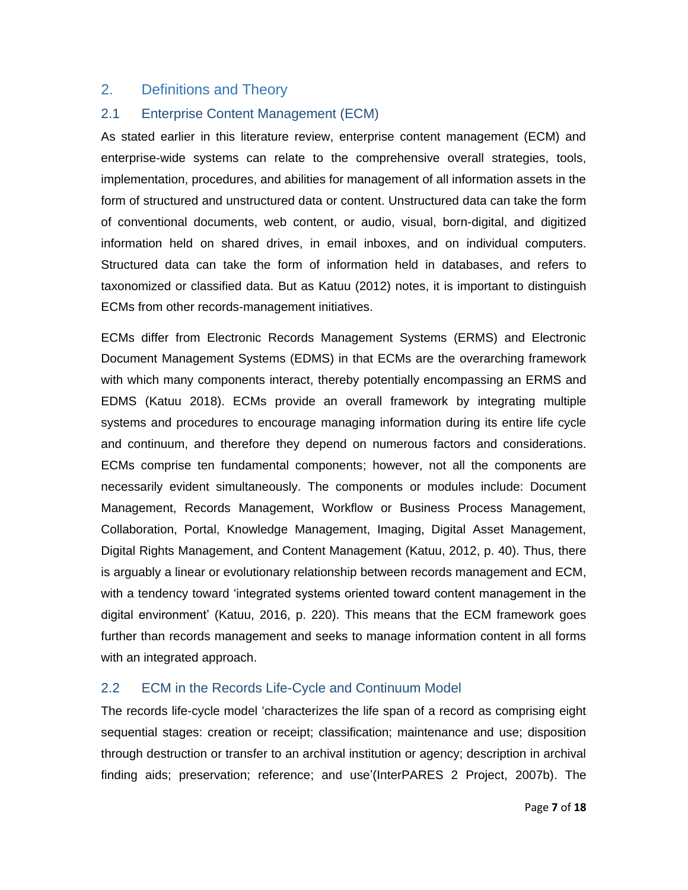# 2. Definitions and Theory

### 2.1 Enterprise Content Management (ECM)

As stated earlier in this literature review, enterprise content management (ECM) and enterprise-wide systems can relate to the comprehensive overall strategies, tools, implementation, procedures, and abilities for management of all information assets in the form of structured and unstructured data or content. Unstructured data can take the form of conventional documents, web content, or audio, visual, born-digital, and digitized information held on shared drives, in email inboxes, and on individual computers. Structured data can take the form of information held in databases, and refers to taxonomized or classified data. But as Katuu (2012) notes, it is important to distinguish ECMs from other records-management initiatives.

ECMs differ from Electronic Records Management Systems (ERMS) and Electronic Document Management Systems (EDMS) in that ECMs are the overarching framework with which many components interact, thereby potentially encompassing an ERMS and EDMS (Katuu 2018). ECMs provide an overall framework by integrating multiple systems and procedures to encourage managing information during its entire life cycle and continuum, and therefore they depend on numerous factors and considerations. ECMs comprise ten fundamental components; however, not all the components are necessarily evident simultaneously. The components or modules include: Document Management, Records Management, Workflow or Business Process Management, Collaboration, Portal, Knowledge Management, Imaging, Digital Asset Management, Digital Rights Management, and Content Management (Katuu, 2012, p. 40). Thus, there is arguably a linear or evolutionary relationship between records management and ECM, with a tendency toward 'integrated systems oriented toward content management in the digital environment' (Katuu, 2016, p. 220). This means that the ECM framework goes further than records management and seeks to manage information content in all forms with an integrated approach.

# 2.2 ECM in the Records Life-Cycle and Continuum Model

The records life-cycle model 'characterizes the life span of a record as comprising eight sequential stages: creation or receipt; classification; maintenance and use; disposition through destruction or transfer to an archival institution or agency; description in archival finding aids; preservation; reference; and use'(InterPARES 2 Project, 2007b). The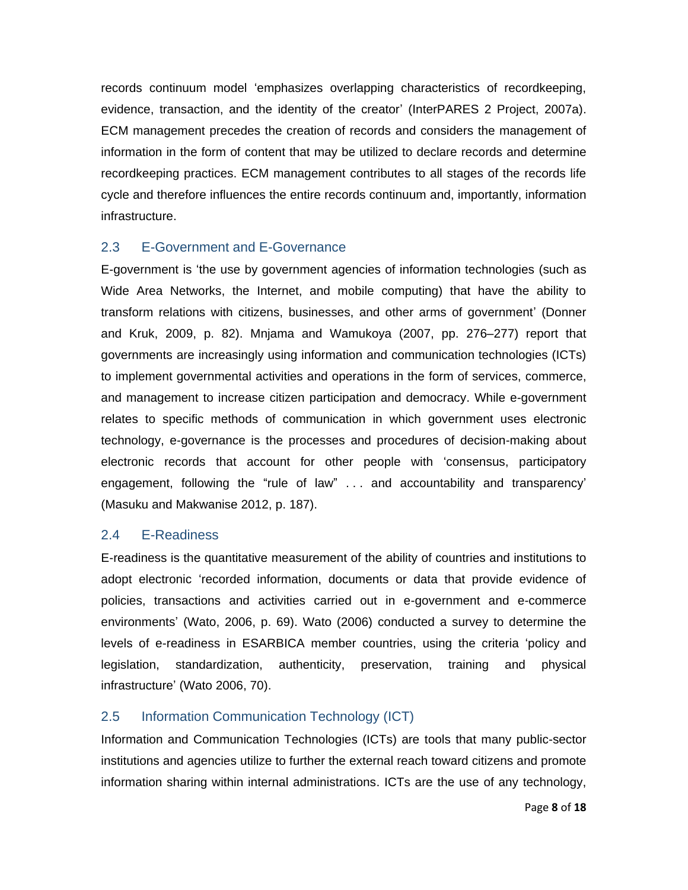records continuum model 'emphasizes overlapping characteristics of recordkeeping, evidence, transaction, and the identity of the creator' (InterPARES 2 Project, 2007a). ECM management precedes the creation of records and considers the management of information in the form of content that may be utilized to declare records and determine recordkeeping practices. ECM management contributes to all stages of the records life cycle and therefore influences the entire records continuum and, importantly, information infrastructure.

## 2.3 E-Government and E-Governance

E-government is 'the use by government agencies of information technologies (such as Wide Area Networks, the Internet, and mobile computing) that have the ability to transform relations with citizens, businesses, and other arms of government' (Donner and Kruk, 2009, p. 82). Mnjama and Wamukoya (2007, pp. 276–277) report that governments are increasingly using information and communication technologies (ICTs) to implement governmental activities and operations in the form of services, commerce, and management to increase citizen participation and democracy. While e-government relates to specific methods of communication in which government uses electronic technology, e-governance is the processes and procedures of decision-making about electronic records that account for other people with 'consensus, participatory engagement, following the "rule of law" . . . and accountability and transparency' (Masuku and Makwanise 2012, p. 187).

#### 2.4 E-Readiness

E-readiness is the quantitative measurement of the ability of countries and institutions to adopt electronic 'recorded information, documents or data that provide evidence of policies, transactions and activities carried out in e-government and e-commerce environments' (Wato, 2006, p. 69). Wato (2006) conducted a survey to determine the levels of e-readiness in ESARBICA member countries, using the criteria 'policy and legislation, standardization, authenticity, preservation, training and physical infrastructure' (Wato 2006, 70).

# 2.5 Information Communication Technology (ICT)

Information and Communication Technologies (ICTs) are tools that many public-sector institutions and agencies utilize to further the external reach toward citizens and promote information sharing within internal administrations. ICTs are the use of any technology,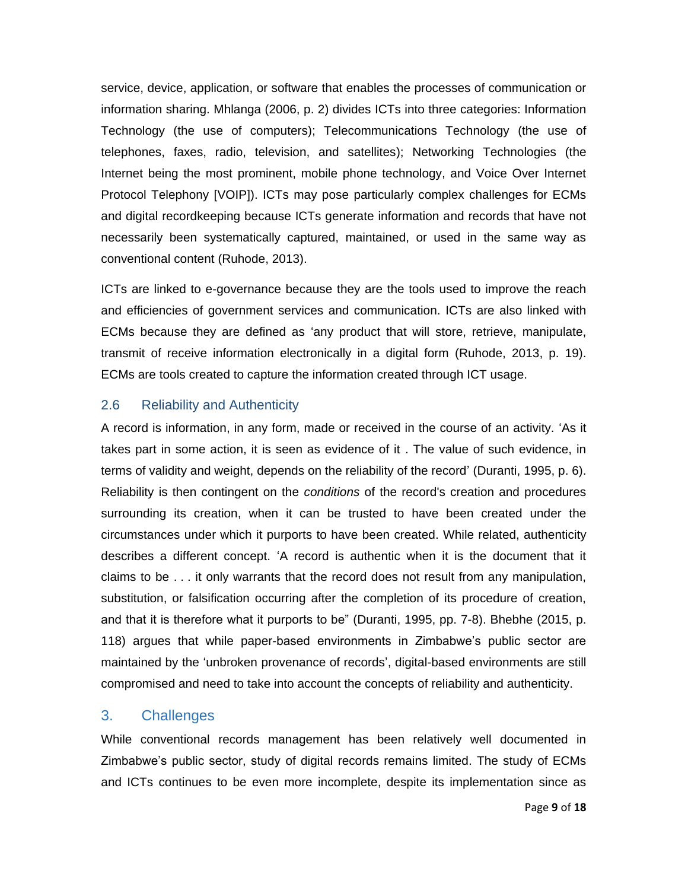service, device, application, or software that enables the processes of communication or information sharing. Mhlanga (2006, p. 2) divides ICTs into three categories: Information Technology (the use of computers); Telecommunications Technology (the use of telephones, faxes, radio, television, and satellites); Networking Technologies (the Internet being the most prominent, mobile phone technology, and Voice Over Internet Protocol Telephony [VOIP]). ICTs may pose particularly complex challenges for ECMs and digital recordkeeping because ICTs generate information and records that have not necessarily been systematically captured, maintained, or used in the same way as conventional content (Ruhode, 2013).

ICTs are linked to e-governance because they are the tools used to improve the reach and efficiencies of government services and communication. ICTs are also linked with ECMs because they are defined as 'any product that will store, retrieve, manipulate, transmit of receive information electronically in a digital form (Ruhode, 2013, p. 19). ECMs are tools created to capture the information created through ICT usage.

#### 2.6 Reliability and Authenticity

A record is information, in any form, made or received in the course of an activity. 'As it takes part in some action, it is seen as evidence of it . The value of such evidence, in terms of validity and weight, depends on the reliability of the record' (Duranti, 1995, p. 6). Reliability is then contingent on the *conditions* of the record's creation and procedures surrounding its creation, when it can be trusted to have been created under the circumstances under which it purports to have been created. While related, authenticity describes a different concept. 'A record is authentic when it is the document that it claims to be . . . it only warrants that the record does not result from any manipulation, substitution, or falsification occurring after the completion of its procedure of creation, and that it is therefore what it purports to be" (Duranti, 1995, pp. 7-8). Bhebhe (2015, p. 118) argues that while paper-based environments in Zimbabwe's public sector are maintained by the 'unbroken provenance of records', digital-based environments are still compromised and need to take into account the concepts of reliability and authenticity.

# 3. Challenges

While conventional records management has been relatively well documented in Zimbabwe's public sector, study of digital records remains limited. The study of ECMs and ICTs continues to be even more incomplete, despite its implementation since as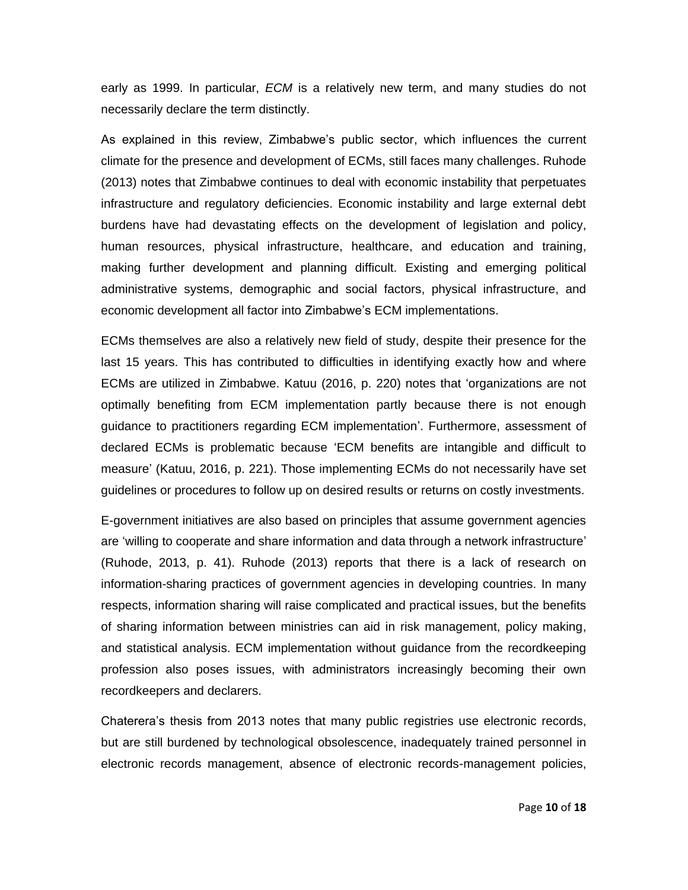early as 1999. In particular, *ECM* is a relatively new term, and many studies do not necessarily declare the term distinctly.

As explained in this review, Zimbabwe's public sector, which influences the current climate for the presence and development of ECMs, still faces many challenges. Ruhode (2013) notes that Zimbabwe continues to deal with economic instability that perpetuates infrastructure and regulatory deficiencies. Economic instability and large external debt burdens have had devastating effects on the development of legislation and policy, human resources, physical infrastructure, healthcare, and education and training, making further development and planning difficult. Existing and emerging political administrative systems, demographic and social factors, physical infrastructure, and economic development all factor into Zimbabwe's ECM implementations.

ECMs themselves are also a relatively new field of study, despite their presence for the last 15 years. This has contributed to difficulties in identifying exactly how and where ECMs are utilized in Zimbabwe. Katuu (2016, p. 220) notes that 'organizations are not optimally benefiting from ECM implementation partly because there is not enough guidance to practitioners regarding ECM implementation'. Furthermore, assessment of declared ECMs is problematic because 'ECM benefits are intangible and difficult to measure' (Katuu, 2016, p. 221). Those implementing ECMs do not necessarily have set guidelines or procedures to follow up on desired results or returns on costly investments.

E-government initiatives are also based on principles that assume government agencies are 'willing to cooperate and share information and data through a network infrastructure' (Ruhode, 2013, p. 41). Ruhode (2013) reports that there is a lack of research on information-sharing practices of government agencies in developing countries. In many respects, information sharing will raise complicated and practical issues, but the benefits of sharing information between ministries can aid in risk management, policy making, and statistical analysis. ECM implementation without guidance from the recordkeeping profession also poses issues, with administrators increasingly becoming their own recordkeepers and declarers.

Chaterera's thesis from 2013 notes that many public registries use electronic records, but are still burdened by technological obsolescence, inadequately trained personnel in electronic records management, absence of electronic records-management policies,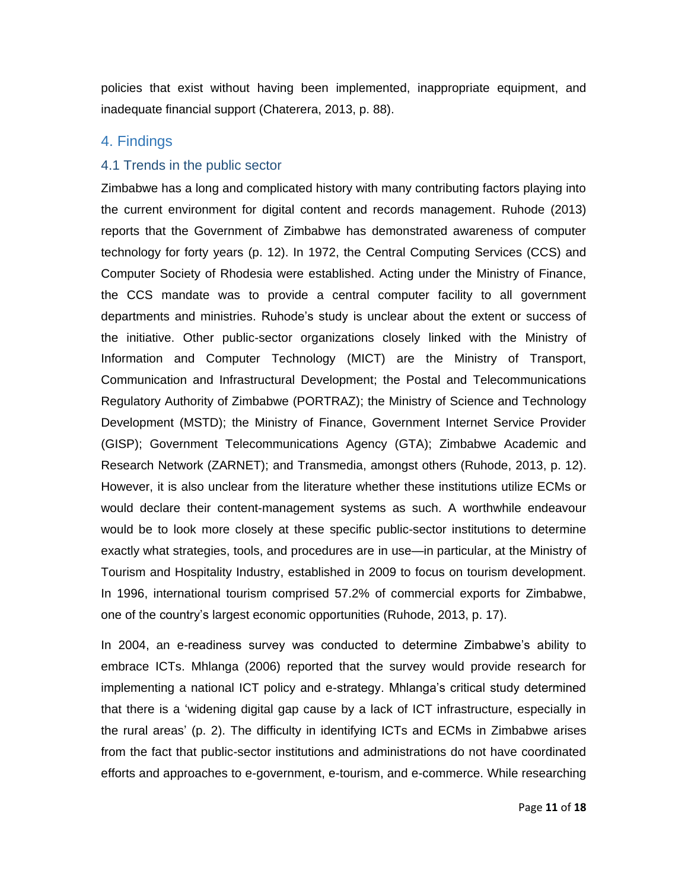policies that exist without having been implemented, inappropriate equipment, and inadequate financial support (Chaterera, 2013, p. 88).

#### 4. Findings

#### 4.1 Trends in the public sector

Zimbabwe has a long and complicated history with many contributing factors playing into the current environment for digital content and records management. Ruhode (2013) reports that the Government of Zimbabwe has demonstrated awareness of computer technology for forty years (p. 12). In 1972, the Central Computing Services (CCS) and Computer Society of Rhodesia were established. Acting under the Ministry of Finance, the CCS mandate was to provide a central computer facility to all government departments and ministries. Ruhode's study is unclear about the extent or success of the initiative. Other public-sector organizations closely linked with the Ministry of Information and Computer Technology (MICT) are the Ministry of Transport, Communication and Infrastructural Development; the Postal and Telecommunications Regulatory Authority of Zimbabwe (PORTRAZ); the Ministry of Science and Technology Development (MSTD); the Ministry of Finance, Government Internet Service Provider (GISP); Government Telecommunications Agency (GTA); Zimbabwe Academic and Research Network (ZARNET); and Transmedia, amongst others (Ruhode, 2013, p. 12). However, it is also unclear from the literature whether these institutions utilize ECMs or would declare their content-management systems as such. A worthwhile endeavour would be to look more closely at these specific public-sector institutions to determine exactly what strategies, tools, and procedures are in use—in particular, at the Ministry of Tourism and Hospitality Industry, established in 2009 to focus on tourism development. In 1996, international tourism comprised 57.2% of commercial exports for Zimbabwe, one of the country's largest economic opportunities (Ruhode, 2013, p. 17).

In 2004, an e-readiness survey was conducted to determine Zimbabwe's ability to embrace ICTs. Mhlanga (2006) reported that the survey would provide research for implementing a national ICT policy and e-strategy. Mhlanga's critical study determined that there is a 'widening digital gap cause by a lack of ICT infrastructure, especially in the rural areas' (p. 2). The difficulty in identifying ICTs and ECMs in Zimbabwe arises from the fact that public-sector institutions and administrations do not have coordinated efforts and approaches to e-government, e-tourism, and e-commerce. While researching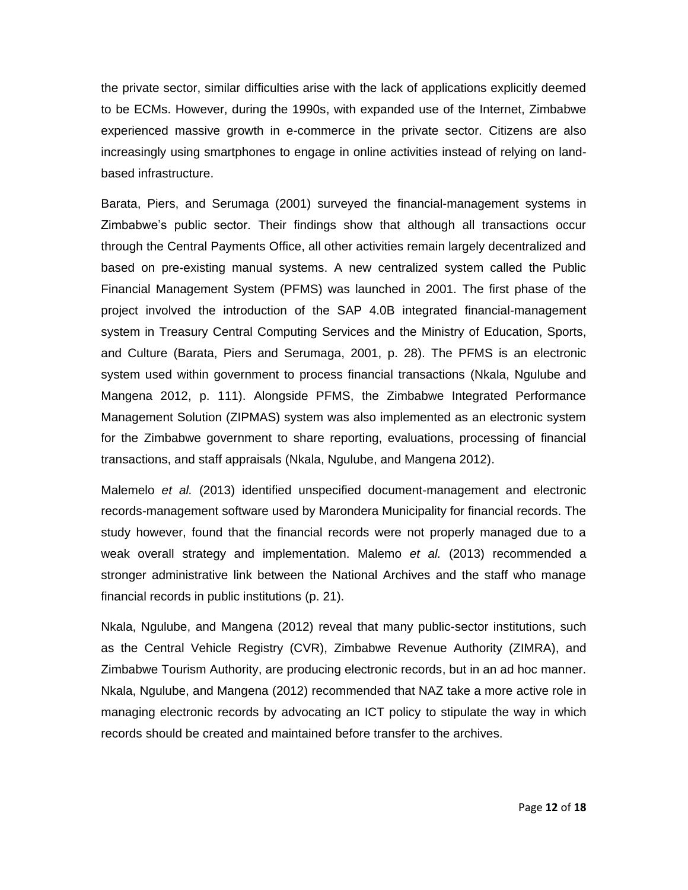the private sector, similar difficulties arise with the lack of applications explicitly deemed to be ECMs. However, during the 1990s, with expanded use of the Internet, Zimbabwe experienced massive growth in e-commerce in the private sector. Citizens are also increasingly using smartphones to engage in online activities instead of relying on landbased infrastructure.

Barata, Piers, and Serumaga (2001) surveyed the financial-management systems in Zimbabwe's public sector. Their findings show that although all transactions occur through the Central Payments Office, all other activities remain largely decentralized and based on pre-existing manual systems. A new centralized system called the Public Financial Management System (PFMS) was launched in 2001. The first phase of the project involved the introduction of the SAP 4.0B integrated financial-management system in Treasury Central Computing Services and the Ministry of Education, Sports, and Culture (Barata, Piers and Serumaga, 2001, p. 28). The PFMS is an electronic system used within government to process financial transactions (Nkala, Ngulube and Mangena 2012, p. 111). Alongside PFMS, the Zimbabwe Integrated Performance Management Solution (ZIPMAS) system was also implemented as an electronic system for the Zimbabwe government to share reporting, evaluations, processing of financial transactions, and staff appraisals (Nkala, Ngulube, and Mangena 2012).

Malemelo *et al.* (2013) identified unspecified document-management and electronic records-management software used by Marondera Municipality for financial records. The study however, found that the financial records were not properly managed due to a weak overall strategy and implementation. Malemo *et al.* (2013) recommended a stronger administrative link between the National Archives and the staff who manage financial records in public institutions (p. 21).

Nkala, Ngulube, and Mangena (2012) reveal that many public-sector institutions, such as the Central Vehicle Registry (CVR), Zimbabwe Revenue Authority (ZIMRA), and Zimbabwe Tourism Authority, are producing electronic records, but in an ad hoc manner. Nkala, Ngulube, and Mangena (2012) recommended that NAZ take a more active role in managing electronic records by advocating an ICT policy to stipulate the way in which records should be created and maintained before transfer to the archives.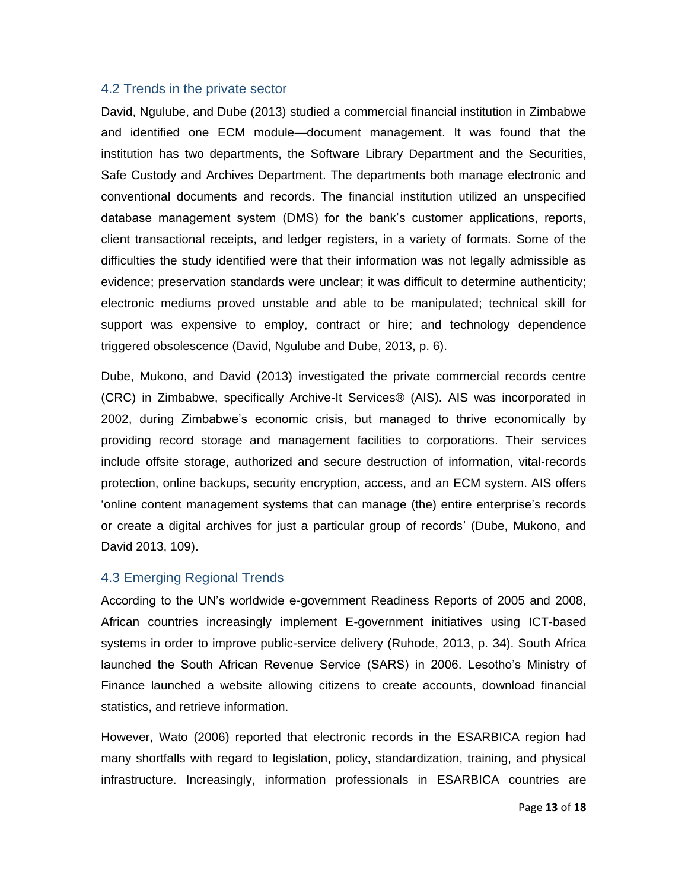#### 4.2 Trends in the private sector

David, Ngulube, and Dube (2013) studied a commercial financial institution in Zimbabwe and identified one ECM module—document management. It was found that the institution has two departments, the Software Library Department and the Securities, Safe Custody and Archives Department. The departments both manage electronic and conventional documents and records. The financial institution utilized an unspecified database management system (DMS) for the bank's customer applications, reports, client transactional receipts, and ledger registers, in a variety of formats. Some of the difficulties the study identified were that their information was not legally admissible as evidence; preservation standards were unclear; it was difficult to determine authenticity; electronic mediums proved unstable and able to be manipulated; technical skill for support was expensive to employ, contract or hire; and technology dependence triggered obsolescence (David, Ngulube and Dube, 2013, p. 6).

Dube, Mukono, and David (2013) investigated the private commercial records centre (CRC) in Zimbabwe, specifically Archive-It Services® (AIS). AIS was incorporated in 2002, during Zimbabwe's economic crisis, but managed to thrive economically by providing record storage and management facilities to corporations. Their services include offsite storage, authorized and secure destruction of information, vital-records protection, online backups, security encryption, access, and an ECM system. AIS offers 'online content management systems that can manage (the) entire enterprise's records or create a digital archives for just a particular group of records' (Dube, Mukono, and David 2013, 109).

#### 4.3 Emerging Regional Trends

According to the UN's worldwide e-government Readiness Reports of 2005 and 2008, African countries increasingly implement E-government initiatives using ICT-based systems in order to improve public-service delivery (Ruhode, 2013, p. 34). South Africa launched the South African Revenue Service (SARS) in 2006. Lesotho's Ministry of Finance launched a website allowing citizens to create accounts, download financial statistics, and retrieve information.

However, Wato (2006) reported that electronic records in the ESARBICA region had many shortfalls with regard to legislation, policy, standardization, training, and physical infrastructure. Increasingly, information professionals in ESARBICA countries are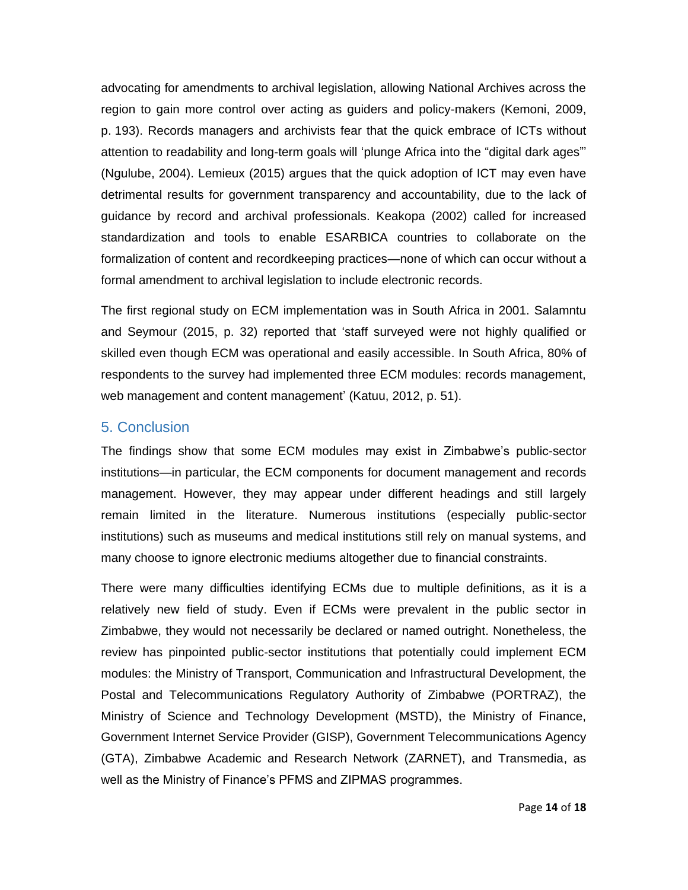advocating for amendments to archival legislation, allowing National Archives across the region to gain more control over acting as guiders and policy-makers (Kemoni, 2009, p. 193). Records managers and archivists fear that the quick embrace of ICTs without attention to readability and long-term goals will 'plunge Africa into the "digital dark ages"' (Ngulube, 2004). Lemieux (2015) argues that the quick adoption of ICT may even have detrimental results for government transparency and accountability, due to the lack of guidance by record and archival professionals. Keakopa (2002) called for increased standardization and tools to enable ESARBICA countries to collaborate on the formalization of content and recordkeeping practices—none of which can occur without a formal amendment to archival legislation to include electronic records.

The first regional study on ECM implementation was in South Africa in 2001. Salamntu and Seymour (2015, p. 32) reported that 'staff surveyed were not highly qualified or skilled even though ECM was operational and easily accessible. In South Africa, 80% of respondents to the survey had implemented three ECM modules: records management, web management and content management' (Katuu, 2012, p. 51).

## 5. Conclusion

The findings show that some ECM modules may exist in Zimbabwe's public-sector institutions—in particular, the ECM components for document management and records management. However, they may appear under different headings and still largely remain limited in the literature. Numerous institutions (especially public-sector institutions) such as museums and medical institutions still rely on manual systems, and many choose to ignore electronic mediums altogether due to financial constraints.

There were many difficulties identifying ECMs due to multiple definitions, as it is a relatively new field of study. Even if ECMs were prevalent in the public sector in Zimbabwe, they would not necessarily be declared or named outright. Nonetheless, the review has pinpointed public-sector institutions that potentially could implement ECM modules: the Ministry of Transport, Communication and Infrastructural Development, the Postal and Telecommunications Regulatory Authority of Zimbabwe (PORTRAZ), the Ministry of Science and Technology Development (MSTD), the Ministry of Finance, Government Internet Service Provider (GISP), Government Telecommunications Agency (GTA), Zimbabwe Academic and Research Network (ZARNET), and Transmedia, as well as the Ministry of Finance's PFMS and ZIPMAS programmes.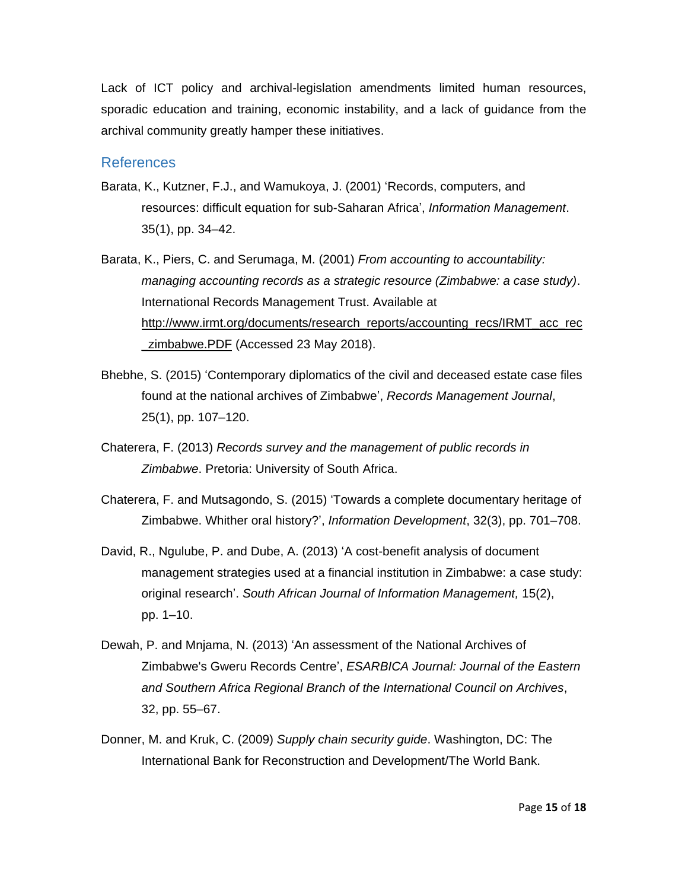Lack of ICT policy and archival-legislation amendments limited human resources, sporadic education and training, economic instability, and a lack of guidance from the archival community greatly hamper these initiatives.

#### References

- Barata, K., Kutzner, F.J., and Wamukoya, J. (2001) 'Records, computers, and resources: difficult equation for sub-Saharan Africa', *Information Management*. 35(1), pp. 34–42.
- Barata, K., Piers, C. and Serumaga, M. (2001) *From accounting to accountability: managing accounting records as a strategic resource (Zimbabwe: a case study)*. International Records Management Trust. Available at http://www.irmt.org/documents/research\_reports/accounting\_recs/IRMT\_acc\_rec zimbabwe.PDF (Accessed 23 May 2018).
- Bhebhe, S. (2015) 'Contemporary diplomatics of the civil and deceased estate case files found at the national archives of Zimbabwe', *Records Management Journal*, 25(1), pp. 107–120.
- Chaterera, F. (2013) *Records survey and the management of public records in Zimbabwe*. Pretoria: University of South Africa.
- Chaterera, F. and Mutsagondo, S. (2015) 'Towards a complete documentary heritage of Zimbabwe. Whither oral history?', *Information Development*, 32(3), pp. 701–708.
- David, R., Ngulube, P. and Dube, A. (2013) 'A cost-benefit analysis of document management strategies used at a financial institution in Zimbabwe: a case study: original research'. *South African Journal of Information Management,* 15(2), pp. 1–10.
- Dewah, P. and Mnjama, N. (2013) 'An assessment of the National Archives of Zimbabwe's Gweru Records Centre', *ESARBICA Journal: Journal of the Eastern and Southern Africa Regional Branch of the International Council on Archives*, 32, pp. 55–67.
- Donner, M. and Kruk, C. (2009) *Supply chain security guide*. Washington, DC: The International Bank for Reconstruction and Development/The World Bank.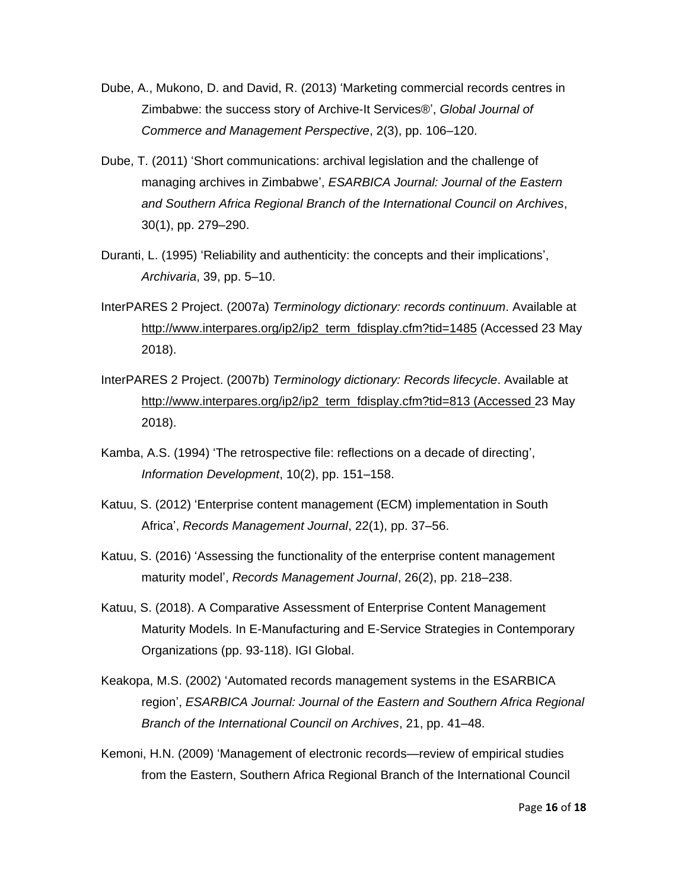- Dube, A., Mukono, D. and David, R. (2013) 'Marketing commercial records centres in Zimbabwe: the success story of Archive-It Services®', *Global Journal of Commerce and Management Perspective*, 2(3), pp. 106–120.
- Dube, T. (2011) 'Short communications: archival legislation and the challenge of managing archives in Zimbabwe', *ESARBICA Journal: Journal of the Eastern and Southern Africa Regional Branch of the International Council on Archives*, 30(1), pp. 279–290.
- Duranti, L. (1995) 'Reliability and authenticity: the concepts and their implications', *Archivaria*, 39, pp. 5–10.
- InterPARES 2 Project. (2007a) *Terminology dictionary: records continuum*. Available at http://www.interpares.org/ip2/ip2\_term\_fdisplay.cfm?tid=1485 (Accessed 23 May 2018).
- InterPARES 2 Project. (2007b) *Terminology dictionary: Records lifecycle*. Available at http://www.interpares.org/ip2/ip2\_term\_fdisplay.cfm?tid=813 (Accessed 23 May 2018).
- Kamba, A.S. (1994) 'The retrospective file: reflections on a decade of directing', *Information Development*, 10(2), pp. 151–158.
- Katuu, S. (2012) 'Enterprise content management (ECM) implementation in South Africa', *Records Management Journal*, 22(1), pp. 37–56.
- Katuu, S. (2016) 'Assessing the functionality of the enterprise content management maturity model', *Records Management Journal*, 26(2), pp. 218–238.
- Katuu, S. (2018). A Comparative Assessment of Enterprise Content Management Maturity Models. In E-Manufacturing and E-Service Strategies in Contemporary Organizations (pp. 93-118). IGI Global.
- Keakopa, M.S. (2002) 'Automated records management systems in the ESARBICA region', *ESARBICA Journal: Journal of the Eastern and Southern Africa Regional Branch of the International Council on Archives*, 21, pp. 41–48.
- Kemoni, H.N. (2009) 'Management of electronic records—review of empirical studies from the Eastern, Southern Africa Regional Branch of the International Council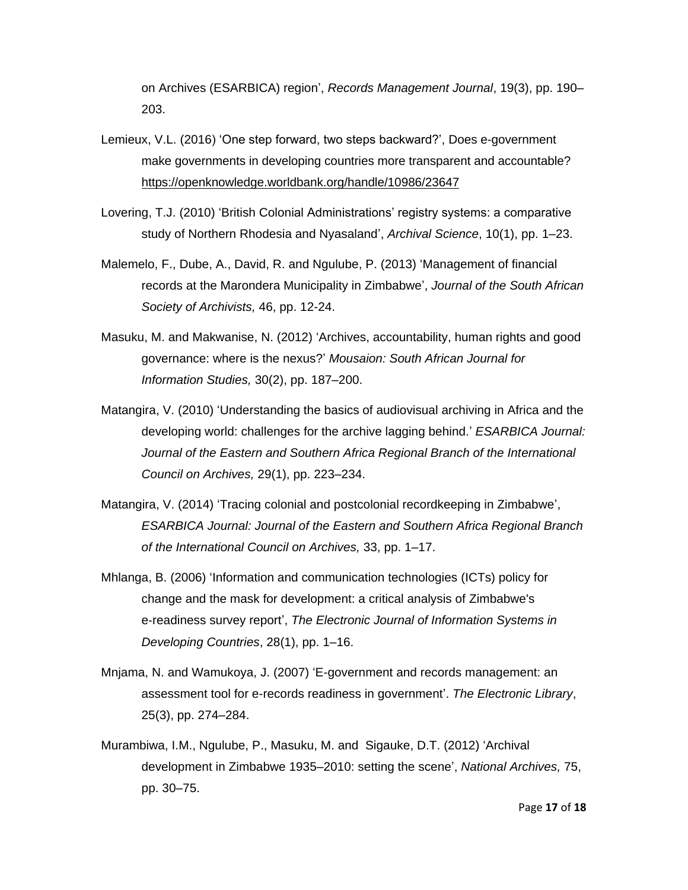on Archives (ESARBICA) region', *Records Management Journal*, 19(3), pp. 190– 203.

- Lemieux, V.L. (2016) 'One step forward, two steps backward?', Does e-government make governments in developing countries more transparent and accountable? <https://openknowledge.worldbank.org/handle/10986/23647>
- Lovering, T.J. (2010) 'British Colonial Administrations' registry systems: a comparative study of Northern Rhodesia and Nyasaland', *Archival Science*, 10(1), pp. 1–23.
- Malemelo, F., Dube, A., David, R. and Ngulube, P. (2013) 'Management of financial records at the Marondera Municipality in Zimbabwe', *Journal of the South African Society of Archivists,* 46, pp. 12-24.
- Masuku, M. and Makwanise, N. (2012) 'Archives, accountability, human rights and good governance: where is the nexus?' *Mousaion: South African Journal for Information Studies,* 30(2), pp. 187–200.
- Matangira, V. (2010) 'Understanding the basics of audiovisual archiving in Africa and the developing world: challenges for the archive lagging behind.' *ESARBICA Journal: Journal of the Eastern and Southern Africa Regional Branch of the International Council on Archives,* 29(1), pp. 223–234.
- Matangira, V. (2014) 'Tracing colonial and postcolonial recordkeeping in Zimbabwe', *ESARBICA Journal: Journal of the Eastern and Southern Africa Regional Branch of the International Council on Archives,* 33, pp. 1–17.
- Mhlanga, B. (2006) 'Information and communication technologies (ICTs) policy for change and the mask for development: a critical analysis of Zimbabwe's e‐readiness survey report', *The Electronic Journal of Information Systems in Developing Countries*, 28(1), pp. 1–16.
- Mnjama, N. and Wamukoya, J. (2007) 'E-government and records management: an assessment tool for e-records readiness in government'. *The Electronic Library*, 25(3), pp. 274–284.
- Murambiwa, I.M., Ngulube, P., Masuku, M. and Sigauke, D.T. (2012) 'Archival development in Zimbabwe 1935–2010: setting the scene', *National Archives,* 75, pp. 30–75.